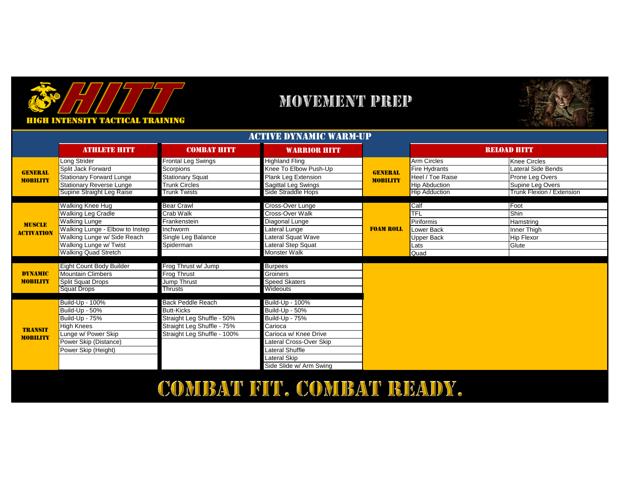

### **MOVEMENT PREP**



| ACTIVE DYNAMIC WARM-UP            |                                 |                             |                         |                                   |                      |                           |
|-----------------------------------|---------------------------------|-----------------------------|-------------------------|-----------------------------------|----------------------|---------------------------|
|                                   | <b>ATHLETE HITT</b>             | <b>COMBAT HITT</b>          | <b>WARRIOR HITT</b>     |                                   |                      | <b>RELOAD HITT</b>        |
| <b>GENERAL</b><br><b>MOBILITY</b> | Long Strider                    | Frontal Leg Swings          | <b>Highland Fling</b>   |                                   | Arm Circles          | <b>Knee Circles</b>       |
|                                   | Split Jack Forward              | Scorpions                   | Knee To Elbow Push-Up   | <b>GENERAL</b><br><b>MOBILITY</b> | <b>Fire Hydrants</b> | Lateral Side Bends        |
|                                   | Stationary Forward Lunge        | <b>Stationary Squat</b>     | Plank Leg Extension     |                                   | Heel / Toe Raise     | Prone Leg Overs           |
|                                   | <b>Stationary Reverse Lunge</b> | <b>Trunk Circles</b>        | Sagittal Leg Swings     |                                   | <b>Hip Abduction</b> | Supine Leg Overs          |
|                                   | Supine Straight Leg Raise       | <b>Trunk Twists</b>         | Side Straddle Hops      |                                   | <b>Hip Adduction</b> | Trunk Flexion / Extension |
|                                   |                                 |                             |                         |                                   |                      |                           |
|                                   | Walking Knee Hug                | <b>Bear Crawl</b>           | Cross-Over Lunge        |                                   | Calf                 | Foot                      |
|                                   | <b>Walking Leg Cradle</b>       | Crab Walk                   | Cross-Over Walk         |                                   | <b>TFL</b>           | Shin                      |
| <b>MUSCLE</b>                     | <b>Walking Lunge</b>            | Frankenstein                | Diagonal Lunge          |                                   | <b>Piriformis</b>    | Hamstring                 |
| <b>ACTIVATION</b>                 | Walking Lunge - Elbow to Instep | Inchworm                    | Lateral Lunge           | <b>FOAM ROLL</b>                  | Lower Back           | Inner Thigh               |
|                                   | Walking Lunge w/ Side Reach     | Single Leg Balance          | Lateral Squat Wave      |                                   | Upper Back           | Hip Flexor                |
|                                   | Walking Lunge w/ Twist          | Spiderman                   | Lateral Step Squat      |                                   | Lats                 | Glute                     |
|                                   | <b>Walking Quad Stretch</b>     |                             | <b>Monster Walk</b>     |                                   | Quad                 |                           |
|                                   | Eight Count Body Builder        | Frog Thrust w/ Jump         | <b>Burpees</b>          |                                   |                      |                           |
| <b>DYNAMIC</b>                    | <b>Mountain Climbers</b>        | Frog Thrust                 | Groiners                |                                   |                      |                           |
| <b>MOBILITY</b>                   | <b>Split Squat Drops</b>        | Jump Thrust                 | <b>Speed Skaters</b>    |                                   |                      |                           |
|                                   | <b>Squat Drops</b>              | Thrusts                     | Wideouts                |                                   |                      |                           |
|                                   |                                 |                             |                         |                                   |                      |                           |
|                                   | Build-Up - 100%                 | Back Peddle Reach           | Build-Up - 100%         |                                   |                      |                           |
| <b>TRANSIT</b><br><b>MOBILITY</b> | Build-Up - 50%                  | <b>Butt-Kicks</b>           | Build-Up - 50%          |                                   |                      |                           |
|                                   | Build-Up - 75%                  | Straight Leg Shuffle - 50%  | Build-Up - 75%          |                                   |                      |                           |
|                                   | <b>High Knees</b>               | Straight Leg Shuffle - 75%  | Carioca                 |                                   |                      |                           |
|                                   | Lunge w/ Power Skip             | Straight Leg Shuffle - 100% | Carioca w/ Knee Drive   |                                   |                      |                           |
|                                   | Power Skip (Distance)           |                             | Lateral Cross-Over Skip |                                   |                      |                           |
|                                   | Power Skip (Height)             |                             | Lateral Shuffle         |                                   |                      |                           |
|                                   |                                 |                             | Lateral Skip            |                                   |                      |                           |
|                                   |                                 |                             | Side Slide w/ Arm Swing |                                   |                      |                           |

## COMBAT FIT. COMBAT READY.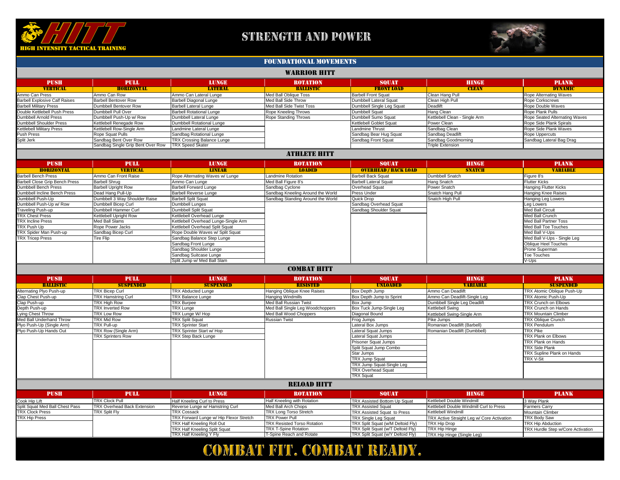

## STRENGTH AND POWER

| <b>WARRIOR HITT</b>                   |                                   |                                      |                                    |                               |                               |                                   |
|---------------------------------------|-----------------------------------|--------------------------------------|------------------------------------|-------------------------------|-------------------------------|-----------------------------------|
| <b>PUSH</b>                           | <b>PULL</b>                       | <b>LUNGE</b>                         | ROTATION                           | <b>SQUAT</b>                  | <b>HINGE</b>                  | <b>PLANK</b>                      |
| <b>VERTICAL</b>                       | <b>HORIZONTAL</b>                 | <b>LATERAL</b>                       | <b>BALLISTIC</b>                   | <b>FRONT LOAD</b>             | <b>CLEAN</b>                  | <b>DYNAMIC</b>                    |
| Ammo Can Press                        | Ammo Can Row                      | Ammo Can Lateral Lunge               | <b>Med Ball Oblique Toss</b>       | <b>Barbell Front Squat</b>    | Clean Hang Pull               | Rope Alternating Waves            |
| <b>Barbell Explosive Calf Raises</b>  | <b>Barbell Bentover Row</b>       | <b>Barbell Diagonal Lunge</b>        | Med Ball Side Throw                | <b>Dumbbell Lateral Squat</b> | Clean High Pull               | <b>Rope Corkscrews</b>            |
| <b>Barbell Military Press</b>         | Dumbbell Bentover Row             | <b>Barbell Lateral Lunge</b>         | <b>Med Ball Side Twist Toss</b>    | Dumbbell Single Leg Squat     | Deadlift                      | Rope Double Waves                 |
| Double Kettlebell Push Press          | Dumbbell Pull Over                | <b>Barbell Rotational Lunge</b>      | Rope Kneeling Throws               | <b>Dumbbell Squat</b>         | <b>Hang Clean</b>             | Rope Plank Pulls                  |
| <b>Dumbbell Arnold Press</b>          | Dumbbell Push-Up w/ Row           | <b>Dumbbell Lateral Lunge</b>        | <b>Rope Standing Throws</b>        | Dumbbell Sumo Squat           | Kettlebell Clean - Single Arm | Rope Seated Alternating Waves     |
| <b>Dumbbell Shoulder Press</b>        | Kettlebell Renegade Row           | <b>Dumbbell Rotational Lunge</b>     |                                    | Kettlebell Goblet Squat       | Power Clean                   | Rope Side Plank Spirals           |
| <b>Kettlebell Military Press</b>      | Kettlebell Row-Single Arm         | Landmine Lateral Lunge               |                                    | <b>Landmine Thrust</b>        | Sandbag Clean                 | Rope Side Plank Waves             |
| <b>Push Press</b>                     | Rope Squat Pulls                  | Sandbag Rotational Lunge             |                                    | Sandbag Bear Hug Squat        | Sandbag Deadlift              | Rope Uppercuts                    |
| Split Jerk                            | Sandbag Bent Over Row             | <b>TRX Crossing Balance Lunge</b>    |                                    | Sandbag Front Squat           | Sandbag Goodmorning           | Sandbag Lateral Bag Drag          |
|                                       | Sandbag Single Grip Bent Over Row | <b>TRX Speed Skater</b>              |                                    |                               | <b>Triple Extension</b>       |                                   |
|                                       |                                   |                                      | ATHLETE HITT                       |                               |                               |                                   |
| <b>PUSH</b>                           | <b>PULL</b>                       | <b>LUNGE</b>                         | <b>ROTATION</b>                    | <b>SQUAT</b>                  | <b>HINGE</b>                  | <b>PLANK</b>                      |
| <b>HORIZONTAL</b>                     | <b>VERTICAL</b>                   | <b>LINEAR</b>                        | <b>LOADED</b>                      | <b>OVERHEAD / BACK LOAD</b>   | <b>SNATCH</b>                 | <b>VARIABLE</b>                   |
| <b>Barbell Bench Press</b>            | Ammo Can Front Raise              | Rope Alternating Waves w/ Lunge      | <b>Landmine Rotation</b>           | <b>Barbell Back Squat</b>     | <b>Dumbbell Snatch</b>        | Figure 8's                        |
| <b>Barbell Close Grip Bench Press</b> | <b>Barbell Shrug</b>              | Ammo Can Lunge                       | Med Ball Figure 8's                | <b>Barbell Lateral Squat</b>  | <b>Hang Snatch</b>            | <b>Flutter Kicks</b>              |
| <b>Dumbbell Bench Press</b>           | <b>Barbell Upright Row</b>        | <b>Barbell Forward Lunge</b>         | Sandbag Cyclone                    | <b>Overhead Squat</b>         | <b>Power Snatch</b>           | <b>Hanging Flutter Kicks</b>      |
| Dumbbell Incline Bench Press          | Dead Hang Pull-Up                 | <b>Barbell Reverse Lunge</b>         | Sandbag Kneeling Around the World  | <b>Press Under</b>            | Snatch Hang Pull              | <b>Hanging Knee Raises</b>        |
| Dumbbell Push-Up                      | Dumbbell 3 Way Shoulder Raise     | <b>Barbell Split Squat</b>           | Sandbag Standing Around the World  | Quick Drop                    | Snatch High Pull              | <b>Hanging Leg Lowers</b>         |
| Dumbbell Push-Up w/ Row               | <b>Dumbbell Bicep Curl</b>        | Dumbbell Lunges                      |                                    | Sandbag Overhead Squat        |                               | Leg Lowers                        |
| Traveling Push-up                     | Dumbbell Hammer Curl              | Dumbbell Split Squat                 |                                    | Sandbag Shoulder Squat        |                               | <b>Med Ball Circuit</b>           |
| <b>TRX Chest Press</b>                | Kettlebell Upright Row            | Kettlebell Overhead Lunge            |                                    |                               |                               | Med Ball Crunch                   |
| <b>TRX Incline Press</b>              | <b>Med Ball Slams</b>             | Kettlebell Overhead Lunge-Single Arm |                                    |                               |                               | <b>Med Ball Partner Toss</b>      |
| <b>TRX Push Up</b>                    | Rope Power Jacks                  | Kettlebell Overhead Split Squat      |                                    |                               |                               | Med Ball Toe Touches              |
| <b>TRX Spider Man Push-up</b>         | Sandbag Bicep Curl                | Rope Double Waves w/ Split Squat     |                                    |                               |                               | Med Ball V-Ups                    |
| <b>TRX Tricep Press</b>               | <b>Tire Flip</b>                  | Sandbag Balance Step Lunge           |                                    |                               |                               | Med Ball V-Ups - Single Leg       |
|                                       |                                   | Sandbag Front Lunge                  |                                    |                               |                               | <b>Oblique Heel Touches</b>       |
|                                       |                                   | Sandbag Shoulder Lunge               |                                    |                               |                               | <b>Prone Superman</b>             |
|                                       |                                   | Sandbag Suitcase Lunge               |                                    |                               |                               | <b>Toe Touches</b>                |
|                                       |                                   | Split Jump w/ Med Ball Slam          |                                    |                               |                               | V-Ups                             |
| <b>COMBAT HITT</b>                    |                                   |                                      |                                    |                               |                               |                                   |
| <b>PUSH</b>                           | <b>PULL</b>                       | <b>LUNGE</b>                         | ROTATION                           | <b>SQUAT</b>                  | <b>HINGE</b>                  | <b>PLANK</b>                      |
| <b>BALLISTIC</b>                      | <b>SUSPENDED</b>                  | <b>SUSPENDED</b>                     | <b>RESISTED</b>                    | <b>UNLOADED</b>               | <b>VARIABLE</b>               | <b>SUSPENDED</b>                  |
| <b>Alternating Plyo Push-up</b>       | <b>TRX Bicep Curl</b>             | <b>TRX Abducted Lunge</b>            | <b>Hanging Oblique Knee Raises</b> | Box Depth Jump                | Ammo Can Deadlift             | TRX Atomic Oblique Push-Up        |
| Clap Chest Push-up                    | <b>TRX Hamstring Curl</b>         | <b>TRX Balance Lunge</b>             | <b>Hanging Windmills</b>           | Box Depth Jump to Sprint      | Ammo Can Deadlift-Single Leg  | <b>TRX Atomic Push-Up</b>         |
| Clap Push-up                          | <b>TRX High Row</b>               | <b>TRX Burpee</b>                    | <b>Med Ball Russian Twist</b>      | Box Jump                      | Dumbbell Single Leg Deadlift  | TRX Crunch on Elbows              |
| Depth Push-up                         | TRX Inverted Row                  | <b>TRX Lunge</b>                     | Med Ball Single Leg Woodchoppers   | Box Tuck Jump-Single Leg      | Kettlebell Swing              | <b>TRX Crunch on Hands</b>        |
| Lying Chest Throw                     | TRX Low Row                       | TRX Lunge W/Hop                      | Med Ball Wood Choppers             | Diagonal Bound                | Kettlebell Swing-Single Arm   | <b>TRX Mountain Climber</b>       |
| Med Ball Underhand Throw              | <b>TRX Mid Row</b>                | <b>TRX Split Squat</b>               | <b>Russian Twist</b>               | Frog Jumps                    | Pike Jumps                    | TRX Oblique Crunch                |
| Plyo Push-Up (Single Arm)             | <b>TRX Pull-up</b>                | <b>TRX Sprinter Start</b>            |                                    | Lateral Box Jumps             | Romanian Deadlift (Barbell)   | <b>TRX Pendulum</b>               |
| Plyo Push-Up Hands Out                | TRX Row (Single Arm)              | TRX Sprinter Start w/ Hop            |                                    | Lateral Squat Jumps           | Romanian Deadlift (Dumbbell)  | <b>TRX Pike</b>                   |
|                                       | <b>TRX Sprinters Row</b>          | TRX Step Back Lunge                  |                                    | Lateral Squat Jumps           |                               | <b>TRX Plank on Elbows</b>        |
|                                       |                                   |                                      |                                    | Prisoner Squat Jumps          |                               | <b>TRX Plank on Hands</b>         |
|                                       |                                   |                                      |                                    | Split Squat Jump Combo        |                               | <b>TRX Side Plank</b>             |
|                                       |                                   |                                      |                                    | Star Jumps                    |                               | <b>TRX Supline Plank on Hands</b> |
|                                       |                                   |                                      |                                    | <b>TRX Jump Squat</b>         |                               | <b>TRX V-Sit</b>                  |
|                                       |                                   |                                      |                                    | TRX Jump Squat-Single Leg     |                               |                                   |
|                                       |                                   |                                      |                                    | <b>TRX Overhead Squat</b>     |                               |                                   |
|                                       |                                   |                                      |                                    | <b>TRX Squat</b>              |                               |                                   |
|                                       |                                   |                                      | <b>RELOAD HITT</b>                 |                               |                               |                                   |

| <b>PUSH</b>                     | <b>PULL</b>                        | <b>LUNGE</b>                                   | <b>ROTATION</b>                    | <b>SQUAT</b>                             | <b>HINGE</b>                                      | <b>PLANK</b>                              |
|---------------------------------|------------------------------------|------------------------------------------------|------------------------------------|------------------------------------------|---------------------------------------------------|-------------------------------------------|
| Cook Hip Lift                   | <b>TRX Clock Pull</b>              | <b>Half Kneeling Curl to Press</b>             | <b>Half Kneeling with Rotation</b> | <b>TRX Assisted Bottom Up Squat</b>      | <b>Kettlebell Double Windmill</b>                 | 3 Way Plank                               |
| Split Squat Med Ball Chest Pass | <b>TRX Overhead Back Extension</b> | Reverse Lunge w/ Hamstring Curl                | Med Ball Arch Chops                | <b>TRX Assisted Squat</b>                | Kettlebell Double Windmill Curl to Press          | <b>Farmers Carry</b>                      |
| <b>TRX Clock Press</b>          | <b>TRX Split Fly</b>               | <b>TRX Cossack</b>                             | <b>TRX Long Torso Stretch</b>      | <b>TRX Assisted Squat to Press</b>       | <b>Kettlebell Windmill</b>                        | Mountain Climber                          |
| <b>TRX Hip Press</b>            |                                    | <b>TRX Forward Lunge w/ Hip Flexor Stretch</b> | <b>ITRX Power Pull</b>             | <b>TRX Single Leg Squat</b>              | <b>TRX Active Straight Leg w/ Core Activation</b> | <b>TRX Body Saw</b>                       |
|                                 |                                    | <b>TRX Half Kneeling Roll Out</b>              | <b>TRX Resisted Torso Rotation</b> | <b>TRX Split Squat (w/M Deltoid Fly)</b> | TRX Hip Drop                                      | <b>TRX Hip Abduction</b>                  |
|                                 |                                    | <b>TRX Half Kneeling Split Squat</b>           | <b>ITRX T-Spine Rotation</b>       | TRX Split Squat (w/T Deltoid Fly)        | <b>TRX Hip Hinge</b>                              | <b>ITRX Hurdle Step w/Core Activation</b> |
|                                 |                                    | <b>TRX Half Kneeling Y Fly</b>                 | T-Spine Reach and Rotate           | <b>TRX Split Squat (w/Y Deltoid Fly)</b> | <b>TRX Hip Hinge (Single Leg)</b>                 |                                           |

# COMBAT FIT. COMBAT REAIDY.



#### FOUndational movements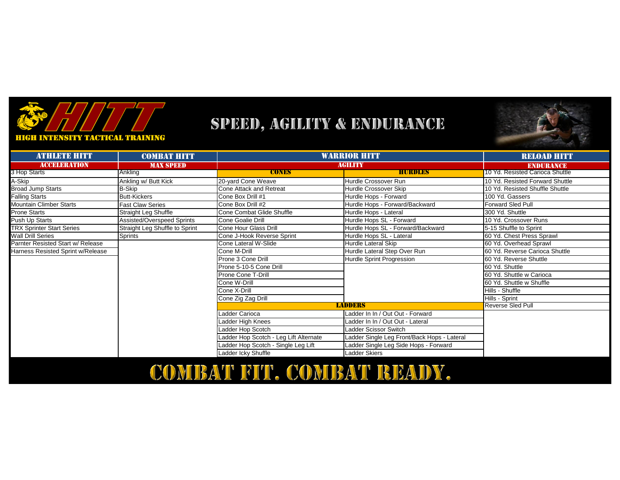

## SPEED, AGILITY & ENDURANCE



**HIGH INTENSITY TACTICAL TRAINING** 

| <b>ATHLETE HITT</b>               | <b>COMBAT HITT</b>             | WARRIOR HITT                           |                                             | <b>RELOAD HITT</b>              |
|-----------------------------------|--------------------------------|----------------------------------------|---------------------------------------------|---------------------------------|
| <b>ACCELERATION</b>               | <b>MAX SPEED</b>               | <b>AGILITY</b>                         |                                             | <b>ENDURANCE</b>                |
| 3 Hop Starts                      | Ankling                        | <b>CONES</b>                           | <b>HURDLES</b>                              | 10 Yd. Resisted Carioca Shuttle |
| A-Skip                            | Ankling w/ Butt Kick           | 20-yard Cone Weave                     | Hurdle Crossover Run                        | 10 Yd. Resisted Forward Shuttle |
| <b>Broad Jump Starts</b>          | B-Skip                         | <b>Cone Attack and Retreat</b>         | Hurdle Crossover Skip                       | 10 Yd. Resisted Shuffle Shuttle |
| <b>Falling Starts</b>             | <b>Butt-Kickers</b>            | Cone Box Drill #1                      | Hurdle Hops - Forward                       | 100 Yd. Gassers                 |
| Mountain Climber Starts           | <b>Fast Claw Series</b>        | Cone Box Drill #2                      | Hurdle Hops - Forward/Backward              | <b>Forward Sled Pull</b>        |
| <b>Prone Starts</b>               | Straight Leg Shuffle           | Cone Combat Glide Shuffle              | Hurdle Hops - Lateral                       | 300 Yd. Shuttle                 |
| Push Up Starts                    | Assisted/Overspeed Sprints     | Cone Goalie Drill                      | Hurdle Hops SL - Forward                    | 10 Yd. Crossover Runs           |
| <b>TRX Sprinter Start Series</b>  | Straight Leg Shuffle to Sprint | Cone Hour Glass Drill                  | Hurdle Hops SL - Forward/Backward           | 5-15 Shuffle to Sprint          |
| <b>Wall Drill Series</b>          | Sprints                        | Cone J-Hook Reverse Sprint             | Hurdle Hops SL - Lateral                    | 60 Yd. Chest Press Sprawl       |
| Parnter Resisted Start w/ Release |                                | Cone Lateral W-Slide                   | Hurdle Lateral Skip                         | 60 Yd. Overhead Sprawl          |
| Harness Resisted Sprint w/Release |                                | Cone M-Drill                           | Hurdle Lateral Step Over Run                | 60 Yd. Reverse Carioca Shuttle  |
|                                   |                                | Prone 3 Cone Drill                     | Hurdle Sprint Progression                   | 60 Yd. Reverse Shuttle          |
|                                   |                                | Prone 5-10-5 Cone Drill                |                                             | 60 Yd. Shuttle                  |
|                                   |                                | <b>Prone Cone T-Drill</b>              |                                             | 60 Yd. Shuttle w Carioca        |
|                                   |                                | Cone W-Drill                           |                                             | 160 Yd. Shuttle w Shuffle       |
|                                   |                                | Cone X-Drill                           |                                             | Hills - Shuffle                 |
|                                   |                                | Cone Zig Zag Drill                     |                                             | Hills - Sprint                  |
|                                   |                                |                                        | <b>LADDERS</b>                              | <b>Reverse Sled Pull</b>        |
|                                   |                                | Ladder Carioca                         | Ladder In In / Out Out - Forward            |                                 |
|                                   |                                | Ladder High Knees                      | Ladder In In / Out Out - Lateral            |                                 |
|                                   |                                | Ladder Hop Scotch                      | Ladder Scissor Switch                       |                                 |
|                                   |                                | Ladder Hop Scotch - Leg Lift Alternate | Ladder Single Leg Front/Back Hops - Lateral |                                 |
|                                   |                                | Ladder Hop Scotch - Single Leg Lift    | Ladder Single Leg Side Hops - Forward       |                                 |
|                                   |                                | Ladder Icky Shuffle                    | Ladder Skiers                               |                                 |

COMBAT FIT. COMBAT READY.